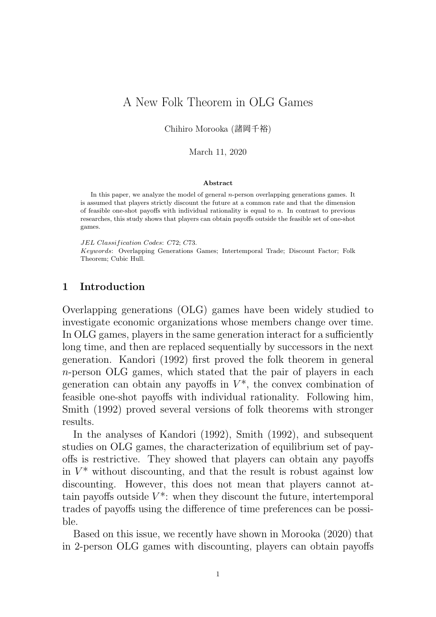# A New Folk Theorem in OLG Games

Chihiro Morooka (諸岡千裕)

March 11, 2020

#### **Abstract**

In this paper, we analyze the model of general *n*-person overlapping generations games. It is assumed that players strictly discount the future at a common rate and that the dimension of feasible one-shot payoffs with individual rationality is equal to *n*. In contrast to previous researches, this study shows that players can obtain payoffs outside the feasible set of one-shot games.

*JEL Classif ication Codes*: *C*72; *C*73.

*Keywords*: Overlapping Generations Games; Intertemporal Trade; Discount Factor; Folk Theorem; Cubic Hull.

## **1 Introduction**

Overlapping generations (OLG) games have been widely studied to investigate economic organizations whose members change over time. In OLG games, players in the same generation interact for a sufficiently long time, and then are replaced sequentially by successors in the next generation. Kandori (1992) first proved the folk theorem in general *n*-person OLG games, which stated that the pair of players in each generation can obtain any payoffs in  $V^*$ , the convex combination of feasible one-shot payoffs with individual rationality. Following him, Smith (1992) proved several versions of folk theorems with stronger results.

In the analyses of Kandori (1992), Smith (1992), and subsequent studies on OLG games, the characterization of equilibrium set of payoffs is restrictive. They showed that players can obtain any payoffs in  $V^*$  without discounting, and that the result is robust against low discounting. However, this does not mean that players cannot attain payoffs outside  $V^*$ : when they discount the future, intertemporal trades of payoffs using the difference of time preferences can be possible.

Based on this issue, we recently have shown in Morooka (2020) that in 2-person OLG games with discounting, players can obtain payoffs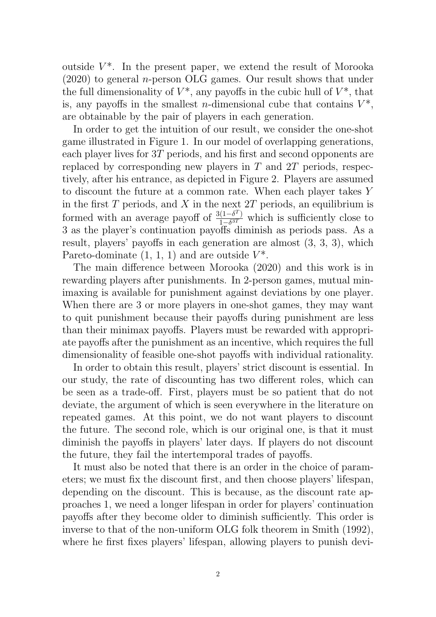outside  $V^*$ . In the present paper, we extend the result of Morooka (2020) to general *n*-person OLG games. Our result shows that under the full dimensionality of  $V^*$ , any payoffs in the cubic hull of  $V^*$ , that is, any payoffs in the smallest *n*-dimensional cube that contains  $V^*$ , are obtainable by the pair of players in each generation.

In order to get the intuition of our result, we consider the one-shot game illustrated in Figure 1. In our model of overlapping generations, each player lives for 3*T* periods, and his first and second opponents are replaced by corresponding new players in *T* and 2*T* periods, respectively, after his entrance, as depicted in Figure 2. Players are assumed to discount the future at a common rate. When each player takes *Y* in the first *T* periods, and *X* in the next 2*T* periods, an equilibrium is formed with an average payoff of  $\frac{3(1-\delta^T)}{1-\delta^{3T}}$ 1*−δ* <sup>3</sup>*<sup>T</sup>* which is sufficiently close to 3 as the player's continuation payoffs diminish as periods pass. As a result, players' payoffs in each generation are almost (3, 3, 3), which Pareto-dominate  $(1, 1, 1)$  and are outside  $V^*$ .

The main difference between Morooka (2020) and this work is in rewarding players after punishments. In 2-person games, mutual minimaxing is available for punishment against deviations by one player. When there are 3 or more players in one-shot games, they may want to quit punishment because their payoffs during punishment are less than their minimax payoffs. Players must be rewarded with appropriate payoffs after the punishment as an incentive, which requires the full dimensionality of feasible one-shot payoffs with individual rationality.

In order to obtain this result, players' strict discount is essential. In our study, the rate of discounting has two different roles, which can be seen as a trade-off. First, players must be so patient that do not deviate, the argument of which is seen everywhere in the literature on repeated games. At this point, we do not want players to discount the future. The second role, which is our original one, is that it must diminish the payoffs in players' later days. If players do not discount the future, they fail the intertemporal trades of payoffs.

It must also be noted that there is an order in the choice of parameters; we must fix the discount first, and then choose players' lifespan, depending on the discount. This is because, as the discount rate approaches 1, we need a longer lifespan in order for players' continuation payoffs after they become older to diminish sufficiently. This order is inverse to that of the non-uniform OLG folk theorem in Smith (1992), where he first fixes players' lifespan, allowing players to punish devi-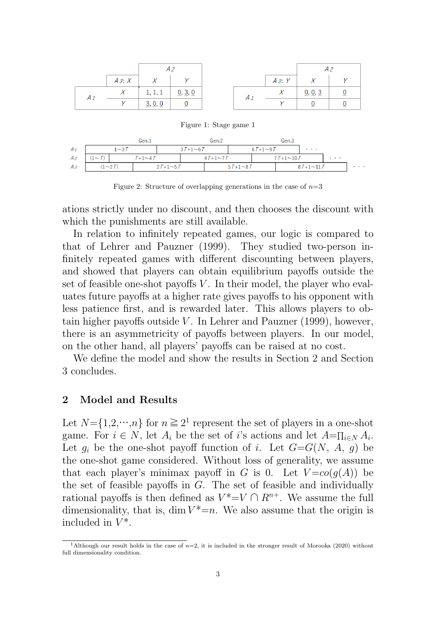|  | $A$ 3: $X$ | $\overline{1}$ |         |  | A3:Y       |         |  |
|--|------------|----------------|---------|--|------------|---------|--|
|  |            | 1, 1, 1        | 0, 3, 0 |  | $\sqrt{2}$ | 0, 0, 3 |  |
|  |            | 3, 0, 0        |         |  |            |         |  |

Figure 1: Stage game 1

|                |           |              | Gen.1           |                |                | Gen.2          |  |                | Gen.3           |                |                              |                    |
|----------------|-----------|--------------|-----------------|----------------|----------------|----------------|--|----------------|-----------------|----------------|------------------------------|--------------------|
| $A_1$          |           | $1\sim 3\pi$ |                 |                | $37+1 \sim 67$ |                |  | $67+1 \sim 97$ |                 | <b>Service</b> |                              |                    |
| A <sub>2</sub> | $1\sim T$ |              | $T+1\sim$ 4 $T$ |                |                | $47+1 \sim 77$ |  |                | $77+1 \sim 107$ |                | $\sim$ 100 $\sim$ 100 $\sim$ |                    |
| $A_3$          |           | $(1 - 2T)$   |                 | $2T+1 \sim 5T$ |                | $57+1 \sim 87$ |  |                | $87+1 \sim 117$ |                |                              | <b>State State</b> |

Figure 2: Structure of overlapping generations in the case of  $n=3$ 

ations strictly under no discount, and then chooses the discount with which the punishments are still available.

In relation to infinitely repeated games, our logic is compared to that of Lehrer and Pauzner (1999). They studied two-person infinitely repeated games with different discounting between players, and showed that players can obtain equilibrium payoffs outside the set of feasible one-shot payoffs *V*. In their model, the player who evaluates future payoffs at a higher rate gives payoffs to his opponent with less patience first, and is rewarded later. This allows players to obtain higher payoffs outside *V* . In Lehrer and Pauzner (1999), however, there is an asymmetricity of payoffs between players. In our model, on the other hand, all players' payoffs can be raised at no cost.

We define the model and show the results in Section 2 and Section 3 concludes.

## **2 Model and Results**

Let  $N = \{1, 2, \dots, n\}$  for  $n \geq 2<sup>1</sup>$  represent the set of players in a one-shot game. For  $i \in N$ , let  $A_i$  be the set of *i*'s actions and let  $A = \prod_{i \in N} A_i$ . Let  $g_i$  be the one-shot payoff function of *i*. Let  $G=G(N, A, g)$  be the one-shot game considered. Without loss of generality, we assume that each player's minimax payoff in *G* is 0. Let  $V = co(q(A))$  be the set of feasible payoffs in *G*. The set of feasible and individually rational payoffs is then defined as  $V^* = V \cap R^{n+}$ . We assume the full dimensionality, that is, dim  $V^* = n$ . We also assume that the origin is included in  $V^*$ .

<sup>&</sup>lt;sup>1</sup>Although our result holds in the case of  $n=2$ , it is included in the stronger result of Morooka (2020) without full dimensionality condition.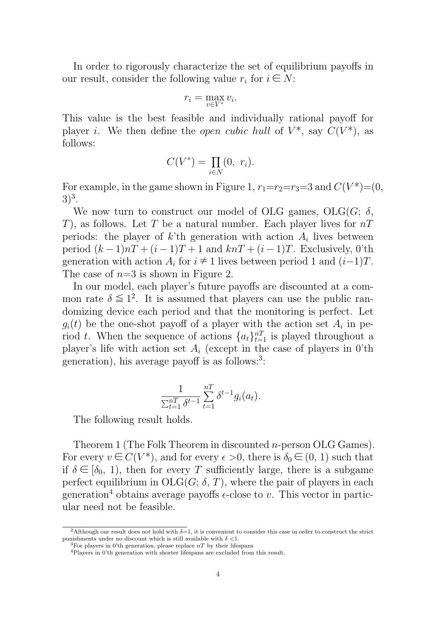In order to rigorously characterize the set of equilibrium payoffs in our result, consider the following value  $r_i$  for  $i \in N$ :

$$
r_i = \max_{v \in V^*} v_i.
$$

This value is the best feasible and individually rational payoff for player *i*. We then define the *open cubic hull* of  $V^*$ , say  $C(V^*)$ , as follows:

$$
C(V^*) = \prod_{i \in N} (0, r_i).
$$

For example, in the game shown in Figure 1,  $r_1=r_2=r_3=3$  and  $C(V^*)=(0,$  $3)^{3}$ .

We now turn to construct our model of OLG games,  $OLG(G; \delta)$ , *T*), as follows. Let *T* be a natural number. Each player lives for *nT* periods: the player of  $k$ 'th generation with action  $A_i$  lives between period  $(k-1)nT + (i-1)T + 1$  and  $knT + (i-1)T$ . Exclusively, 0'th generation with action  $A_i$  for  $i \neq 1$  lives between period 1 and  $(i-1)T$ . The case of *n*=3 is shown in Figure 2.

In our model, each player's future payoffs are discounted at a common rate  $\delta \leq 1^2$ . It is assumed that players can use the public randomizing device each period and that the monitoring is perfect. Let  $g_i(t)$  be the one-shot payoff of a player with the action set  $A_i$  in period *t*. When the sequence of actions  $\{a_t\}_{t=1}^{n}$  is played throughout a player's life with action set  $A_i$  (except in the case of players in 0'th generation), his average payoff is as follows:<sup>3</sup>:

$$
\frac{1}{\sum_{t=1}^{n} \delta^{t-1}} \sum_{t=1}^{n} \delta^{t-1} g_i(a_t).
$$

The following result holds.

Theorem 1 (The Folk Theorem in discounted *n*-person OLG Games). For every  $v \in C(V^*)$ , and for every  $\epsilon > 0$ , there is  $\delta_0 \in (0, 1)$  such that if  $\delta \in [\delta_0, 1]$ , then for every *T* sufficiently large, there is a subgame perfect equilibrium in  $OLG(G; \delta, T)$ , where the pair of players in each generation<sup>4</sup> obtains average payoffs  $\epsilon$ -close to *v*. This vector in particular need not be feasible.

<sup>&</sup>lt;sup>2</sup>Although our result does not hold with  $\delta=1$ , it is convenient to consider this case in order to construct the strict punishments under no discount which is still available with *δ <*1.

<sup>&</sup>lt;sup>3</sup>For players in 0'th generation, please replace  $nT$  by their lifespans

<sup>4</sup>Players in 0'th generation with shorter lifespans are excluded from this result.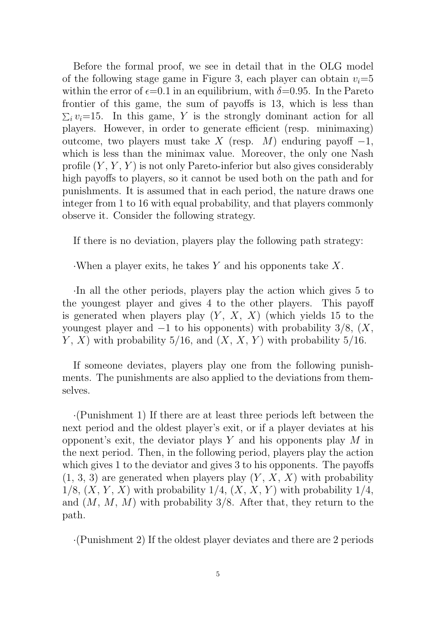Before the formal proof, we see in detail that in the OLG model of the following stage game in Figure 3, each player can obtain  $v_i = 5$ within the error of  $\epsilon$ =0.1 in an equilibrium, with  $\delta$ =0.95. In the Pareto frontier of this game, the sum of payoffs is 13, which is less than  $\sum_i v_i = 15$ . In this game, *Y* is the strongly dominant action for all players. However, in order to generate efficient (resp. minimaxing) outcome, two players must take *X* (resp. *M*) enduring payoff *−*1, which is less than the minimax value. Moreover, the only one Nash profile (*Y* , *Y* , *Y* ) is not only Pareto-inferior but also gives considerably high payoffs to players, so it cannot be used both on the path and for punishments. It is assumed that in each period, the nature draws one integer from 1 to 16 with equal probability, and that players commonly observe it. Consider the following strategy.

If there is no deviation, players play the following path strategy:

*·*When a player exits, he takes *Y* and his opponents take *X*.

*·*In all the other periods, players play the action which gives 5 to the youngest player and gives 4 to the other players. This payoff is generated when players play  $(Y, X, X)$  (which yields 15 to the youngest player and *−*1 to his opponents) with probability 3/8, (*X*, *Y*, *X*) with probability 5/16, and  $(X, X, Y)$  with probability 5/16.

If someone deviates, players play one from the following punishments. The punishments are also applied to the deviations from themselves.

*·*(Punishment 1) If there are at least three periods left between the next period and the oldest player's exit, or if a player deviates at his opponent's exit, the deviator plays *Y* and his opponents play *M* in the next period. Then, in the following period, players play the action which gives 1 to the deviator and gives 3 to his opponents. The payoffs  $(1, 3, 3)$  are generated when players play  $(Y, X, X)$  with probability 1/8,  $(X, Y, X)$  with probability 1/4,  $(X, X, Y)$  with probability 1/4, and (*M*, *M*, *M*) with probability 3/8. After that, they return to the path.

*·*(Punishment 2) If the oldest player deviates and there are 2 periods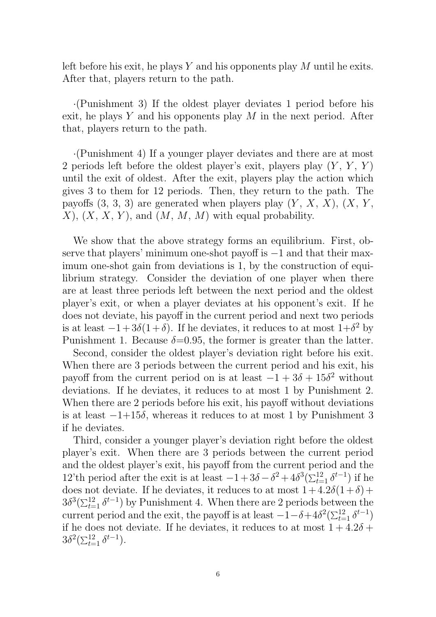left before his exit, he plays *Y* and his opponents play *M* until he exits. After that, players return to the path.

*·*(Punishment 3) If the oldest player deviates 1 period before his exit, he plays *Y* and his opponents play *M* in the next period. After that, players return to the path.

*·*(Punishment 4) If a younger player deviates and there are at most 2 periods left before the oldest player's exit, players play (*Y* , *Y* , *Y* ) until the exit of oldest. After the exit, players play the action which gives 3 to them for 12 periods. Then, they return to the path. The payoffs  $(3, 3, 3)$  are generated when players play  $(Y, X, X)$ ,  $(X, Y, Y)$ *X*), (*X*, *X*, *Y* ), and (*M*, *M*, *M*) with equal probability.

We show that the above strategy forms an equilibrium. First, observe that players' minimum one-shot payoff is *−*1 and that their maximum one-shot gain from deviations is 1, by the construction of equilibrium strategy. Consider the deviation of one player when there are at least three periods left between the next period and the oldest player's exit, or when a player deviates at his opponent's exit. If he does not deviate, his payoff in the current period and next two periods is at least  $-1+3\delta(1+\delta)$ . If he deviates, it reduces to at most  $1+\delta^2$  by Punishment 1. Because  $\delta$ =0.95, the former is greater than the latter.

Second, consider the oldest player's deviation right before his exit. When there are 3 periods between the current period and his exit, his payoff from the current period on is at least  $-1 + 3\delta + 15\delta^2$  without deviations. If he deviates, it reduces to at most 1 by Punishment 2. When there are 2 periods before his exit, his payoff without deviations is at least *−*1+15*δ*, whereas it reduces to at most 1 by Punishment 3 if he deviates.

Third, consider a younger player's deviation right before the oldest player's exit. When there are 3 periods between the current period and the oldest player's exit, his payoff from the current period and the 12'th period after the exit is at least  $-1+3δ-δ<sup>2</sup>+4δ<sup>3</sup>(\sum_{t=1}^{12} δ<sup>t-1</sup>)$  if he does not deviate. If he deviates, it reduces to at most  $1+4.2\delta(1+\delta)+$  $3\delta^3(\sum_{t=1}^{12} \delta^{t-1})$  by Punishment 4. When there are 2 periods between the current period and the exit, the payoff is at least  $-1-\delta+4\delta^2(\sum_{t=1}^{12}\delta^{t-1})$ if he does not deviate. If he deviates, it reduces to at most  $1 + 4.2\delta$  +  $3\delta^2(\sum_{t=1}^{12} \delta^{t-1}).$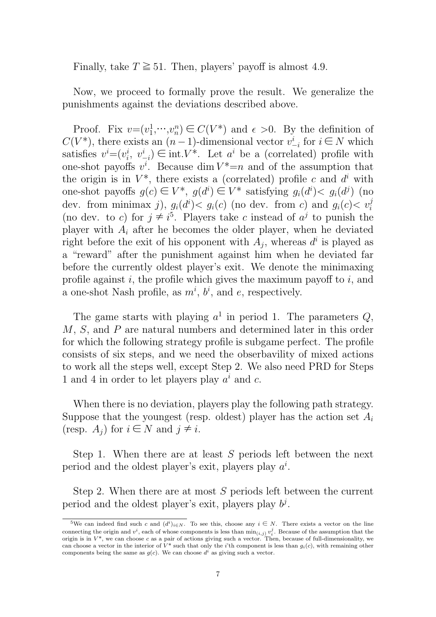Finally, take  $T \ge 51$ . Then, players' payoff is almost 4.9.

Now, we proceed to formally prove the result. We generalize the punishments against the deviations described above.

Proof. Fix  $v = (v_1^1)$  $\frac{1}{1}, \cdots, \frac{v^n}{n}$  $n_n$ <sup>n</sup>)  $\in C(V^*)$  and  $\epsilon > 0$ . By the definition of  $C(V^*)$ , there exists an  $(n-1)$ -dimensional vector  $v^i$  $\sum_{i=1}^{i}$  for  $i \in N$  which satisfies  $v^i = (v_i^i)$  $i$ <sup>*i*</sup>,  $v^i$ <sub>*-*</sub>  $\frac{i}{-i}$  ∈ int.*V*<sup>\*</sup>. Let *a*<sup>*i*</sup> be a (correlated) profile with one-shot payoffs  $v^i$ . Because dim  $V^* = n$  and of the assumption that the origin is in  $V^*$ , there exists a (correlated) profile c and  $d^i$  with one-shot payoffs  $g(c) \in V^*$ ,  $g(d^i) \in V^*$  satisfying  $g_i(d^i) < g_i(d^j)$  (no dev. from minimax *j*),  $g_i(d^i) < g_i(c)$  (no dev. from *c*) and  $g_i(c) < v_i^j$ (no dev. to *c*) for  $j \neq i^5$ . Players take *c* instead of  $a^j$  to punish the player with *A<sup>i</sup>* after he becomes the older player, when he deviated right before the exit of his opponent with  $A_j$ , whereas  $d^i$  is played as a "reward" after the punishment against him when he deviated far before the currently oldest player's exit. We denote the minimaxing profile against *i*, the profile which gives the maximum payoff to *i*, and a one-shot Nash profile, as  $m^i$ ,  $b^i$ , and *e*, respectively.

The game starts with playing  $a^1$  in period 1. The parameters  $Q$ , *M*, *S*, and *P* are natural numbers and determined later in this order for which the following strategy profile is subgame perfect. The profile consists of six steps, and we need the obserbavility of mixed actions to work all the steps well, except Step 2. We also need PRD for Steps 1 and 4 in order to let players play  $a^i$  and  $c$ .

When there is no deviation, players play the following path strategy. Suppose that the youngest (resp. oldest) player has the action set *A<sup>i</sup>* (resp.  $A_j$ ) for  $i \in N$  and  $j \neq i$ .

Step 1. When there are at least *S* periods left between the next period and the oldest player's exit, players play *a i* .

Step 2. When there are at most *S* periods left between the current period and the oldest player's exit, players play  $b^j$ .

<sup>&</sup>lt;sup>5</sup>We can indeed find such *c* and  $(d^{i})_{i \in N}$ . To see this, choose any  $i \in N$ . There exists a vector on the line connecting the origin and  $v^i$ , each of whose components is less than  $\min_{(i,j)} v_i^j$ . Because of the assumption that the origin is in  $V^*$ , we can choose c as a pair of actions giving such a vector. Then, because of full-dimensionality, we can choose a vector in the interior of  $V^*$  such that only the *i*'th component is less than  $g_i(c)$ , with remaining other components being the same as  $g(c)$ . We can choose  $d^i$  as giving such a vector.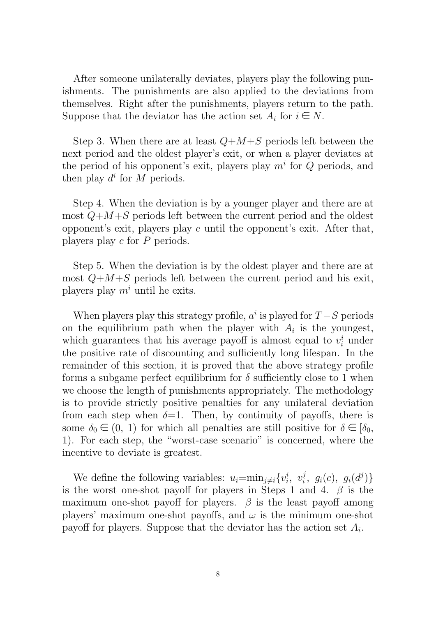After someone unilaterally deviates, players play the following punishments. The punishments are also applied to the deviations from themselves. Right after the punishments, players return to the path. Suppose that the deviator has the action set  $A_i$  for  $i \in N$ .

Step 3. When there are at least *Q*+*M*+*S* periods left between the next period and the oldest player's exit, or when a player deviates at the period of his opponent's exit, players play *m<sup>i</sup>* for *Q* periods, and then play  $d^i$  for M periods.

Step 4. When the deviation is by a younger player and there are at most *Q*+*M*+*S* periods left between the current period and the oldest opponent's exit, players play *e* until the opponent's exit. After that, players play *c* for *P* periods.

Step 5. When the deviation is by the oldest player and there are at most  $Q+M+S$  periods left between the current period and his exit, players play *m<sup>i</sup>* until he exits.

When players play this strategy profile,  $a^i$  is played for  $T-S$  periods on the equilibrium path when the player with  $A_i$  is the youngest, which guarantees that his average payoff is almost equal to  $v_i^i$  under the positive rate of discounting and sufficiently long lifespan. In the remainder of this section, it is proved that the above strategy profile forms a subgame perfect equilibrium for  $\delta$  sufficiently close to 1 when we choose the length of punishments appropriately. The methodology is to provide strictly positive penalties for any unilateral deviation from each step when  $\delta=1$ . Then, by continuity of payoffs, there is some  $\delta_0 \in (0, 1)$  for which all penalties are still positive for  $\delta \in [\delta_0,$ 1). For each step, the "worst-case scenario" is concerned, where the incentive to deviate is greatest.

We define the following variables:  $u_i = \min_{j \neq i} \{v_i^i\}$  $\dot{i}$ ,  $v_i^j$  $g_{i}^{j},\,\,g_{i}(c),\,\,g_{i}(d^{j})\}$ is the worst one-shot payoff for players in Steps 1 and 4. *β* is the maximum one-shot payoff for players.  $\beta$  is the least payoff among players' maximum one-shot payoffs, and  $\omega$  is the minimum one-shot payoff for players. Suppose that the deviator has the action set *A<sup>i</sup>* .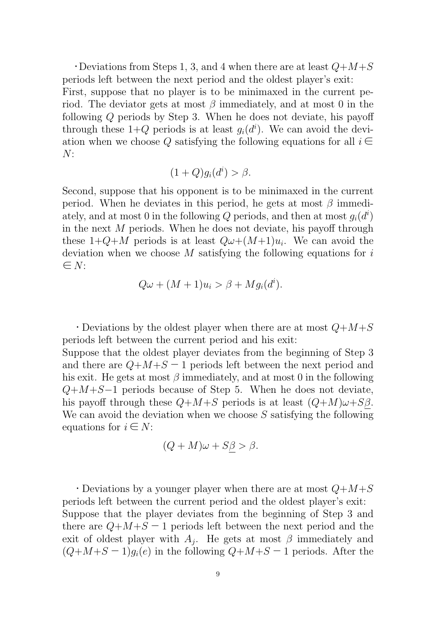$\cdot$  Deviations from Steps 1, 3, and 4 when there are at least  $Q+M+S$ periods left between the next period and the oldest player's exit:

First, suppose that no player is to be minimaxed in the current period. The deviator gets at most *β* immediately, and at most 0 in the following *Q* periods by Step 3. When he does not deviate, his payoff through these  $1+Q$  periods is at least  $g_i(d^i)$ . We can avoid the deviation when we choose Q satisfying the following equations for all  $i \in$ *N*:

$$
(1+Q)g_i(d^i) > \beta.
$$

Second, suppose that his opponent is to be minimaxed in the current period. When he deviates in this period, he gets at most *β* immediately, and at most 0 in the following  $Q$  periods, and then at most  $g_i(d^i)$ in the next *M* periods. When he does not deviate, his payoff through these  $1+Q+M$  periods is at least  $Q\omega+(M+1)u_i$ . We can avoid the deviation when we choose *M* satisfying the following equations for *i* ∈ *N*:

$$
Q\omega + (M+1)u_i > \beta + Mg_i(d^i).
$$

・Deviations by the oldest player when there are at most *Q*+*M*+*S* periods left between the current period and his exit:

Suppose that the oldest player deviates from the beginning of Step 3 and there are  $Q+M+S-1$  periods left between the next period and his exit. He gets at most *β* immediately, and at most 0 in the following *Q*+*M*+*S−*1 periods because of Step 5. When he does not deviate, his payoff through these  $Q+M+S$  periods is at least  $(Q+M)\omega+S\beta$ . We can avoid the deviation when we choose *S* satisfying the following equations for  $i \in N$ :

$$
(Q+M)\omega + S\underline{\beta} > \beta.
$$

・Deviations by a younger player when there are at most *Q*+*M*+*S* periods left between the current period and the oldest player's exit: Suppose that the player deviates from the beginning of Step 3 and there are  $Q+M+S-1$  periods left between the next period and the exit of oldest player with  $A_j$ . He gets at most  $\beta$  immediately and  $(Q+M+S-1)q_i(e)$  in the following  $Q+M+S-1$  periods. After the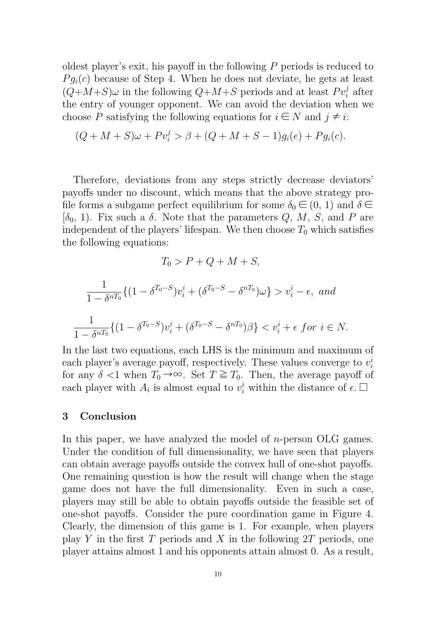oldest player's exit, his payoff in the following *P* periods is reduced to  $P g_i(c)$  because of Step 4. When he does not deviate, he gets at least  $(Q+M+S)\omega$  in the following  $Q+M+S$  periods and at least  $Pv_i^j$  after the entry of younger opponent. We can avoid the deviation when we choose *P* satisfying the following equations for  $i \in N$  and  $j \neq i$ :

$$
(Q + M + S)\omega + Pv_i^j > \beta + (Q + M + S - 1)g_i(e) + Pg_i(c).
$$

Therefore, deviations from any steps strictly decrease deviators' payoffs under no discount, which means that the above strategy profile forms a subgame perfect equilibrium for some  $\delta_0 \in (0, 1)$  and  $\delta \in$ [*δ*0, 1). Fix such a *δ*. Note that the parameters *Q*, *M*, *S*, and *P* are independent of the players' lifespan. We then choose  $T_0$  which satisfies the following equations:

$$
T_0 > P + Q + M + S,
$$

$$
\frac{1}{1 - \delta^{n} \tau_0} \{ (1 - \delta^{T_0 - S}) v_i^i + (\delta^{T_0 - S} - \delta^{n} \tau_0) \omega \} > v_i^i - \epsilon, \text{ and}
$$
  

$$
\frac{1}{1 - \delta^{n} \tau_0} \{ (1 - \delta^{T_0 - S}) v_i^i + (\delta^{T_0 - S} - \delta^{n} \tau_0) \beta \} < v_i^i + \epsilon \text{ for } i \in N.
$$

In the last two equations, each LHS is the minimum and maximum of each player's average payoff, respectively. These values converge to *v i i* for any  $\delta$  <1 when  $T_0 \rightarrow \infty$ . Set  $T \geq T_0$ . Then, the average payoff of each player with  $A_i$  is almost equal to  $v_i^i$  within the distance of  $\epsilon$ .  $\Box$ 

### **3 Conclusion**

In this paper, we have analyzed the model of *n*-person OLG games. Under the condition of full dimensionality, we have seen that players can obtain average payoffs outside the convex hull of one-shot payoffs. One remaining question is how the result will change when the stage game does not have the full dimensionality. Even in such a case, players may still be able to obtain payoffs outside the feasible set of one-shot payoffs. Consider the pure coordination game in Figure 4. Clearly, the dimension of this game is 1. For example, when players play *Y* in the first *T* periods and *X* in the following 2*T* periods, one player attains almost 1 and his opponents attain almost 0. As a result,